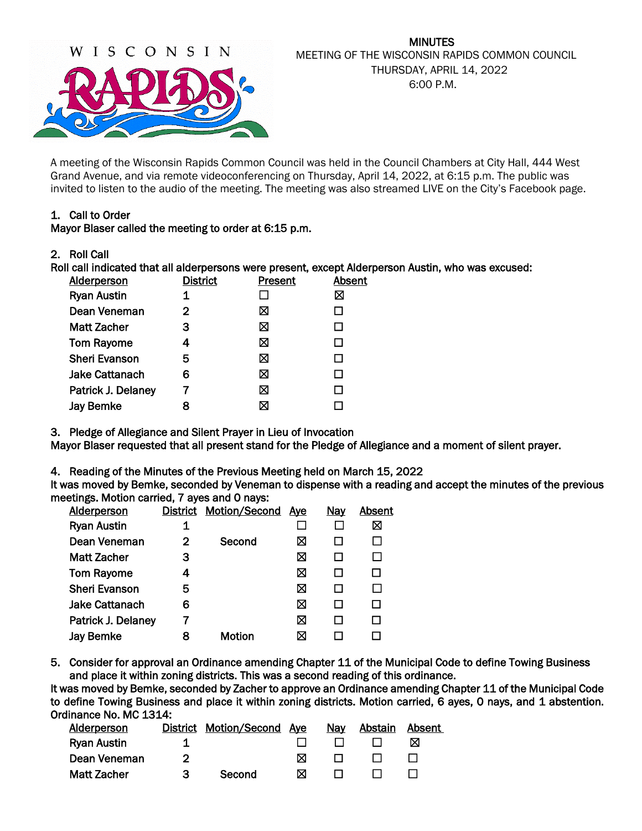

## MINUTES MEETING OF THE WISCONSIN RAPIDS COMMON COUNCIL THURSDAY, APRIL 14, 2022 6:00 P.M.

A meeting of the Wisconsin Rapids Common Council was held in the Council Chambers at City Hall, 444 West Grand Avenue, and via remote videoconferencing on Thursday, April 14, 2022, at 6:15 p.m. The public was invited to listen to the audio of the meeting. The meeting was also streamed LIVE on the City's Facebook page.

### 1. Call to Order

Mayor Blaser called the meeting to order at 6:15 p.m.

2. Roll Call

Roll call indicated that all alderpersons were present, except Alderperson Austin, who was excused:

| <b>District</b> | Present | Absent |
|-----------------|---------|--------|
| 1               |         | ⊠      |
| 2               | ⊠       |        |
| з               | ⊠       |        |
| 4               | ⊠       |        |
| 5               | ⊠       |        |
| 6               | ⊠       | ΙI     |
|                 | ⊠       |        |
| 8               | ⊠       |        |
|                 |         |        |

3. Pledge of Allegiance and Silent Prayer in Lieu of Invocation

Mayor Blaser requested that all present stand for the Pledge of Allegiance and a moment of silent prayer.

4. Reading of the Minutes of the Previous Meeting held on March 15, 2022

It was moved by Bemke, seconded by Veneman to dispense with a reading and accept the minutes of the previous meetings. Motion carried, 7 ayes and 0 nays:

| <b>Alderperson</b>    | District | Motion/Second Aye |   | <b>Nay</b> | Absent |
|-----------------------|----------|-------------------|---|------------|--------|
| <b>Ryan Austin</b>    | 1        |                   |   |            | ⊠      |
| Dean Veneman          | 2        | Second            | ⊠ |            |        |
| <b>Matt Zacher</b>    | 3        |                   | ⊠ |            |        |
| <b>Tom Rayome</b>     | 4        |                   | ⊠ |            |        |
| <b>Sheri Evanson</b>  | 5        |                   | ⊠ |            |        |
| <b>Jake Cattanach</b> | 6        |                   | ⊠ |            |        |
| Patrick J. Delaney    |          |                   | ⊠ |            |        |
| <b>Jay Bemke</b>      | 8        | Motion            |   |            |        |
|                       |          |                   |   |            |        |

5. Consider for approval an Ordinance amending Chapter 11 of the Municipal Code to define Towing Business and place it within zoning districts. This was a second reading of this ordinance.

It was moved by Bemke, seconded by Zacher to approve an Ordinance amending Chapter 11 of the Municipal Code to define Towing Business and place it within zoning districts. Motion carried, 6 ayes, 0 nays, and 1 abstention. Ordinance No. MC 1314:

| Alderperson        | District Motion/Second | Aye | <b>Nav</b> | Abstain | Absent |
|--------------------|------------------------|-----|------------|---------|--------|
| <b>Ryan Austin</b> |                        |     |            |         | ⋈      |
| Dean Veneman       |                        | М   |            |         |        |
| <b>Matt Zacher</b> | Second                 | ⋈   |            |         |        |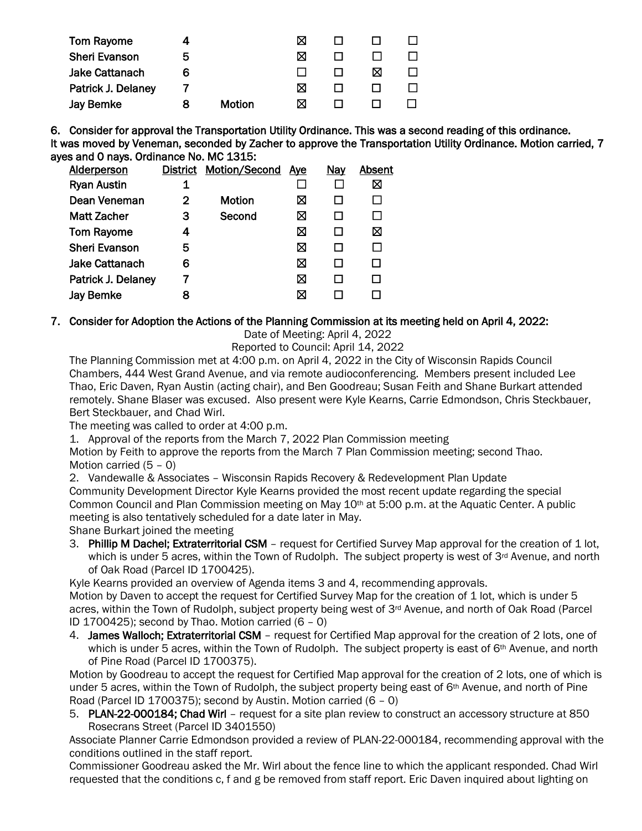| Tom Rayome            |   |               | ⋈ |   |  |
|-----------------------|---|---------------|---|---|--|
| <b>Sheri Evanson</b>  | 5 |               | ⋈ |   |  |
| <b>Jake Cattanach</b> | 6 |               |   | ⋈ |  |
| Patrick J. Delaney    |   |               | ⋈ |   |  |
| <b>Jay Bemke</b>      |   | <b>Motion</b> | M |   |  |

6. Consider for approval the Transportation Utility Ordinance. This was a second reading of this ordinance. It was moved by Veneman, seconded by Zacher to approve the Transportation Utility Ordinance. Motion carried, 7 ayes and 0 nays. Ordinance No. MC 1315:

| Alderperson           |   | District Motion/Second | Aye | <b>Nay</b> | Absent |
|-----------------------|---|------------------------|-----|------------|--------|
| <b>Ryan Austin</b>    | 1 |                        |     |            | ⊠      |
| Dean Veneman          | 2 | Motion                 | ⋈   |            |        |
| <b>Matt Zacher</b>    | 3 | Second                 | ⋈   |            |        |
| <b>Tom Rayome</b>     | 4 |                        | ⋈   |            | ⊠      |
| <b>Sheri Evanson</b>  | 5 |                        | ⊠   |            |        |
| <b>Jake Cattanach</b> | 6 |                        | ⊠   |            |        |
| Patrick J. Delaney    |   |                        | ⊠   |            |        |
| Jay Bemke             |   |                        |     |            |        |
|                       |   |                        |     |            |        |

### 7. Consider for Adoption the Actions of the Planning Commission at its meeting held on April 4, 2022:

Date of Meeting: April 4, 2022

Reported to Council: April 14, 2022

The Planning Commission met at 4:00 p.m. on April 4, 2022 in the City of Wisconsin Rapids Council Chambers, 444 West Grand Avenue, and via remote audioconferencing. Members present included Lee Thao, Eric Daven, Ryan Austin (acting chair), and Ben Goodreau; Susan Feith and Shane Burkart attended remotely. Shane Blaser was excused. Also present were Kyle Kearns, Carrie Edmondson, Chris Steckbauer, Bert Steckbauer, and Chad Wirl.

The meeting was called to order at 4:00 p.m.

1. Approval of the reports from the March 7, 2022 Plan Commission meeting

Motion by Feith to approve the reports from the March 7 Plan Commission meeting; second Thao. Motion carried (5 – 0)

2. Vandewalle & Associates – Wisconsin Rapids Recovery & Redevelopment Plan Update

Community Development Director Kyle Kearns provided the most recent update regarding the special Common Council and Plan Commission meeting on May 10<sup>th</sup> at 5:00 p.m. at the Aquatic Center. A public meeting is also tentatively scheduled for a date later in May.

Shane Burkart joined the meeting

3. Phillip M Dachel; Extraterritorial CSM - request for Certified Survey Map approval for the creation of 1 lot, which is under 5 acres, within the Town of Rudolph. The subject property is west of 3<sup>rd</sup> Avenue, and north of Oak Road (Parcel ID 1700425).

Kyle Kearns provided an overview of Agenda items 3 and 4, recommending approvals.

Motion by Daven to accept the request for Certified Survey Map for the creation of 1 lot, which is under 5 acres, within the Town of Rudolph, subject property being west of 3<sup>rd</sup> Avenue, and north of Oak Road (Parcel ID 1700425); second by Thao. Motion carried  $(6 - 0)$ 

4. James Walloch; Extraterritorial CSM – request for Certified Map approval for the creation of 2 lots, one of which is under 5 acres, within the Town of Rudolph. The subject property is east of 6<sup>th</sup> Avenue, and north of Pine Road (Parcel ID 1700375).

Motion by Goodreau to accept the request for Certified Map approval for the creation of 2 lots, one of which is under 5 acres, within the Town of Rudolph, the subject property being east of 6<sup>th</sup> Avenue, and north of Pine Road (Parcel ID 1700375); second by Austin. Motion carried (6 - 0)

5. PLAN-22-000184; Chad Wirl – request for a site plan review to construct an accessory structure at 850 Rosecrans Street (Parcel ID 3401550)

Associate Planner Carrie Edmondson provided a review of PLAN-22-000184, recommending approval with the conditions outlined in the staff report.

Commissioner Goodreau asked the Mr. Wirl about the fence line to which the applicant responded. Chad Wirl requested that the conditions c, f and g be removed from staff report. Eric Daven inquired about lighting on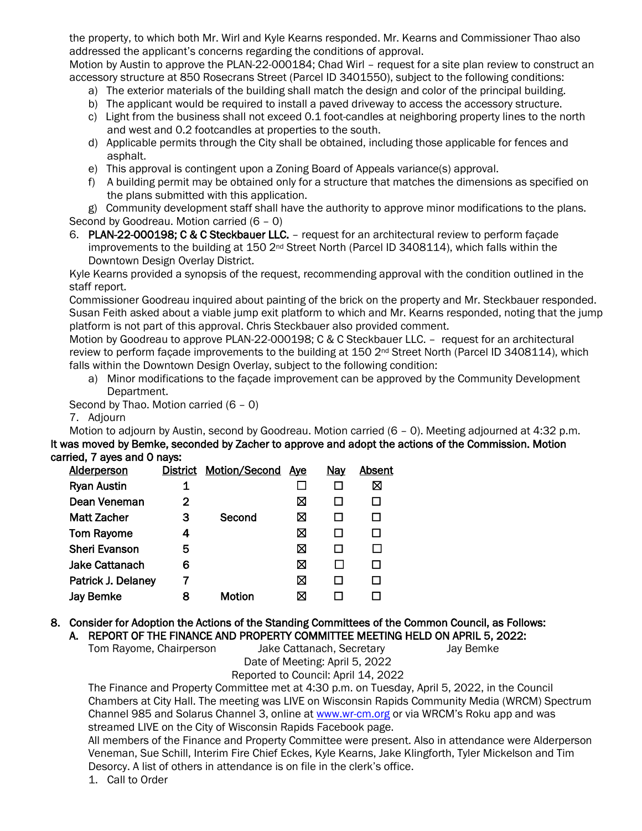the property, to which both Mr. Wirl and Kyle Kearns responded. Mr. Kearns and Commissioner Thao also addressed the applicant's concerns regarding the conditions of approval.

Motion by Austin to approve the PLAN-22-000184; Chad Wirl – request for a site plan review to construct an accessory structure at 850 Rosecrans Street (Parcel ID 3401550), subject to the following conditions:

- a) The exterior materials of the building shall match the design and color of the principal building.
- b) The applicant would be required to install a paved driveway to access the accessory structure.
- c) Light from the business shall not exceed 0.1 foot-candles at neighboring property lines to the north and west and 0.2 footcandles at properties to the south.
- d) Applicable permits through the City shall be obtained, including those applicable for fences and asphalt.
- e) This approval is contingent upon a Zoning Board of Appeals variance(s) approval.
- f) A building permit may be obtained only for a structure that matches the dimensions as specified on the plans submitted with this application.

g) Community development staff shall have the authority to approve minor modifications to the plans. Second by Goodreau. Motion carried (6 – 0)

6. PLAN-22-000198; C & C Steckbauer LLC. – request for an architectural review to perform façade improvements to the building at 150 2<sup>nd</sup> Street North (Parcel ID 3408114), which falls within the Downtown Design Overlay District.

Kyle Kearns provided a synopsis of the request, recommending approval with the condition outlined in the staff report.

Commissioner Goodreau inquired about painting of the brick on the property and Mr. Steckbauer responded. Susan Feith asked about a viable jump exit platform to which and Mr. Kearns responded, noting that the jump platform is not part of this approval. Chris Steckbauer also provided comment.

Motion by Goodreau to approve PLAN-22-000198; C & C Steckbauer LLC. – request for an architectural review to perform façade improvements to the building at 150 2<sup>nd</sup> Street North (Parcel ID 3408114), which falls within the Downtown Design Overlay, subject to the following condition:

a) Minor modifications to the façade improvement can be approved by the Community Development Department.

Second by Thao. Motion carried (6 – 0)

7. Adjourn

Motion to adjourn by Austin, second by Goodreau. Motion carried (6 – 0). Meeting adjourned at 4:32 p.m. It was moved by Bemke, seconded by Zacher to approve and adopt the actions of the Commission. Motion carried, 7 ayes and 0 nays:

| Alderperson           | District | Motion/Second | Aye | <u>Nay</u> | Absent |
|-----------------------|----------|---------------|-----|------------|--------|
| <b>Ryan Austin</b>    |          |               |     |            | ⊠      |
| Dean Veneman          | 2        |               | ⊠   |            |        |
| <b>Matt Zacher</b>    | з        | Second        | ⊠   |            |        |
| <b>Tom Rayome</b>     | 4        |               | ⊠   |            |        |
| <b>Sheri Evanson</b>  | 5        |               | ⊠   |            |        |
| <b>Jake Cattanach</b> | 6        |               | ⊠   |            |        |
| Patrick J. Delaney    |          |               | ⊠   |            |        |
| <b>Jay Bemke</b>      | 8        | Motion        | ⋈   |            |        |
|                       |          |               |     |            |        |

#### 8. Consider for Adoption the Actions of the Standing Committees of the Common Council, as Follows: A. REPORT OF THE FINANCE AND PROPERTY COMMITTEE MEETING HELD ON APRIL 5, 2022:

Tom Rayome, Chairperson Jake Cattanach, Secretary Jay Bemke Date of Meeting: April 5, 2022 Reported to Council: April 14, 2022

The Finance and Property Committee met at 4:30 p.m. on Tuesday, April 5, 2022, in the Council Chambers at City Hall. The meeting was LIVE on Wisconsin Rapids Community Media (WRCM) Spectrum Channel 985 and Solarus Channel 3, online a[t www.wr-cm.org](http://www.wr-cm.org/) or via WRCM's Roku app and was streamed LIVE on the City of Wisconsin Rapids Facebook page.

All members of the Finance and Property Committee were present. Also in attendance were Alderperson Veneman, Sue Schill, Interim Fire Chief Eckes, Kyle Kearns, Jake Klingforth, Tyler Mickelson and Tim Desorcy. A list of others in attendance is on file in the clerk's office.

1. Call to Order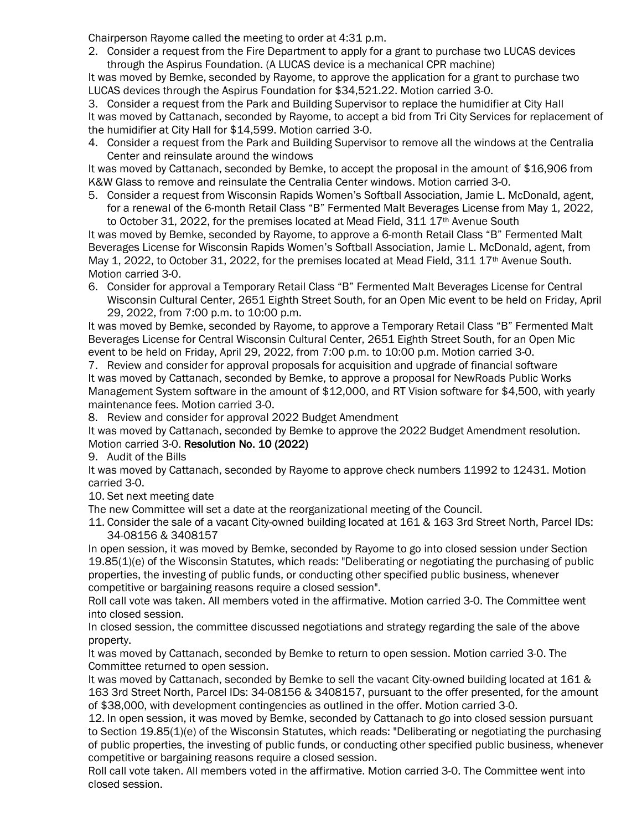Chairperson Rayome called the meeting to order at 4:31 p.m.

2. Consider a request from the Fire Department to apply for a grant to purchase two LUCAS devices through the Aspirus Foundation. (A LUCAS device is a mechanical CPR machine)

It was moved by Bemke, seconded by Rayome, to approve the application for a grant to purchase two LUCAS devices through the Aspirus Foundation for \$34,521.22. Motion carried 3-0.

3. Consider a request from the Park and Building Supervisor to replace the humidifier at City Hall It was moved by Cattanach, seconded by Rayome, to accept a bid from Tri City Services for replacement of the humidifier at City Hall for \$14,599. Motion carried 3-0.

4. Consider a request from the Park and Building Supervisor to remove all the windows at the Centralia Center and reinsulate around the windows

It was moved by Cattanach, seconded by Bemke, to accept the proposal in the amount of \$16,906 from K&W Glass to remove and reinsulate the Centralia Center windows. Motion carried 3-0.

5. Consider a request from Wisconsin Rapids Women's Softball Association, Jamie L. McDonald, agent, for a renewal of the 6-month Retail Class "B" Fermented Malt Beverages License from May 1, 2022, to October 31, 2022, for the premises located at Mead Field,  $311$   $17$ <sup>th</sup> Avenue South

It was moved by Bemke, seconded by Rayome, to approve a 6-month Retail Class "B" Fermented Malt Beverages License for Wisconsin Rapids Women's Softball Association, Jamie L. McDonald, agent, from May 1, 2022, to October 31, 2022, for the premises located at Mead Field, 311 17<sup>th</sup> Avenue South. Motion carried 3-0.

6. Consider for approval a Temporary Retail Class "B" Fermented Malt Beverages License for Central Wisconsin Cultural Center, 2651 Eighth Street South, for an Open Mic event to be held on Friday, April 29, 2022, from 7:00 p.m. to 10:00 p.m.

It was moved by Bemke, seconded by Rayome, to approve a Temporary Retail Class "B" Fermented Malt Beverages License for Central Wisconsin Cultural Center, 2651 Eighth Street South, for an Open Mic event to be held on Friday, April 29, 2022, from 7:00 p.m. to 10:00 p.m. Motion carried 3-0.

7. Review and consider for approval proposals for acquisition and upgrade of financial software It was moved by Cattanach, seconded by Bemke, to approve a proposal for NewRoads Public Works Management System software in the amount of \$12,000, and RT Vision software for \$4,500, with yearly maintenance fees. Motion carried 3-0.

8. Review and consider for approval 2022 Budget Amendment

It was moved by Cattanach, seconded by Bemke to approve the 2022 Budget Amendment resolution. Motion carried 3-0. Resolution No. 10 (2022)

9. Audit of the Bills

It was moved by Cattanach, seconded by Rayome to approve check numbers 11992 to 12431. Motion carried 3-0.

10. Set next meeting date

The new Committee will set a date at the reorganizational meeting of the Council.

11. Consider the sale of a vacant City-owned building located at 161 & 163 3rd Street North, Parcel IDs: 34-08156 & 3408157

In open session, it was moved by Bemke, seconded by Rayome to go into closed session under Section 19.85(1)(e) of the Wisconsin Statutes, which reads: "Deliberating or negotiating the purchasing of public properties, the investing of public funds, or conducting other specified public business, whenever competitive or bargaining reasons require a closed session".

Roll call vote was taken. All members voted in the affirmative. Motion carried 3-0. The Committee went into closed session.

In closed session, the committee discussed negotiations and strategy regarding the sale of the above property.

It was moved by Cattanach, seconded by Bemke to return to open session. Motion carried 3-0. The Committee returned to open session.

It was moved by Cattanach, seconded by Bemke to sell the vacant City-owned building located at 161 & 163 3rd Street North, Parcel IDs: 34-08156 & 3408157, pursuant to the offer presented, for the amount of \$38,000, with development contingencies as outlined in the offer. Motion carried 3-0.

12. In open session, it was moved by Bemke, seconded by Cattanach to go into closed session pursuant to Section 19.85(1)(e) of the Wisconsin Statutes, which reads: "Deliberating or negotiating the purchasing of public properties, the investing of public funds, or conducting other specified public business, whenever competitive or bargaining reasons require a closed session.

Roll call vote taken. All members voted in the affirmative. Motion carried 3-0. The Committee went into closed session.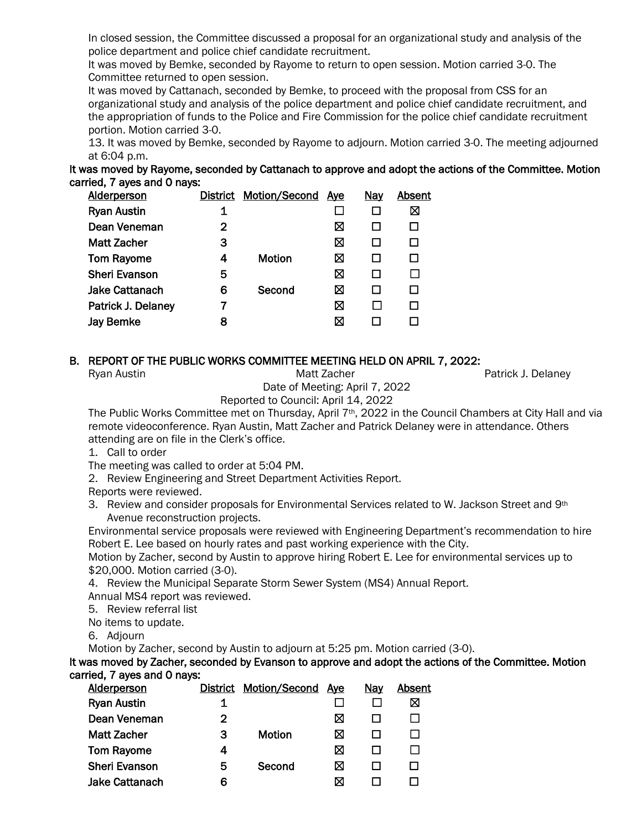In closed session, the Committee discussed a proposal for an organizational study and analysis of the police department and police chief candidate recruitment.

It was moved by Bemke, seconded by Rayome to return to open session. Motion carried 3-0. The Committee returned to open session.

It was moved by Cattanach, seconded by Bemke, to proceed with the proposal from CSS for an organizational study and analysis of the police department and police chief candidate recruitment, and the appropriation of funds to the Police and Fire Commission for the police chief candidate recruitment portion. Motion carried 3-0.

13. It was moved by Bemke, seconded by Rayome to adjourn. Motion carried 3-0. The meeting adjourned at 6:04 p.m.

It was moved by Rayome, seconded by Cattanach to approve and adopt the actions of the Committee. Motion carried, 7 ayes and 0 nays:

| <b>Alderperson</b>    | District | Motion/Second | <u>Aye</u> | <u>Nay</u>   | Absent |
|-----------------------|----------|---------------|------------|--------------|--------|
| <b>Ryan Austin</b>    | 1        |               |            |              | ⊠      |
| Dean Veneman          | 2        |               | ⊠          | $\mathbf{I}$ |        |
| Matt Zacher           | 3        |               | ⊠          |              |        |
| <b>Tom Rayome</b>     | 4        | Motion        | ⊠          |              |        |
| <b>Sheri Evanson</b>  | 5        |               | ⊠          | $\mathbf{I}$ |        |
| <b>Jake Cattanach</b> | 6        | Second        | ⊠          | $\mathbf{I}$ |        |
| Patrick J. Delaney    | 7        |               | ⊠          |              |        |
| <b>Jay Bemke</b>      | 8        |               | ⋈          |              |        |
|                       |          |               |            |              |        |

## B. REPORT OF THE PUBLIC WORKS COMMITTEE MEETING HELD ON APRIL 7, 2022:

Ryan Austin **Matt Zacher** Patrick J. Delaney Matt Zacher **Patrick J. Delaney** 

Date of Meeting: April 7, 2022

Reported to Council: April 14, 2022

The Public Works Committee met on Thursday, April 7th, 2022 in the Council Chambers at City Hall and via remote videoconference. Ryan Austin, Matt Zacher and Patrick Delaney were in attendance. Others attending are on file in the Clerk's office.

1. Call to order

The meeting was called to order at 5:04 PM.

2. Review Engineering and Street Department Activities Report.

Reports were reviewed.

3. Review and consider proposals for Environmental Services related to W. Jackson Street and 9th Avenue reconstruction projects.

Environmental service proposals were reviewed with Engineering Department's recommendation to hire Robert E. Lee based on hourly rates and past working experience with the City.

Motion by Zacher, second by Austin to approve hiring Robert E. Lee for environmental services up to \$20,000. Motion carried (3-0).

4. Review the Municipal Separate Storm Sewer System (MS4) Annual Report. Annual MS4 report was reviewed.

5. Review referral list

No items to update.

6. Adjourn

Motion by Zacher, second by Austin to adjourn at 5:25 pm. Motion carried (3-0).

It was moved by Zacher, seconded by Evanson to approve and adopt the actions of the Committee. Motion carried, 7 ayes and 0 nays:

| <b>Alderperson</b>    |   | District Motion/Second Ave |   | <b>Nay</b> | Absent |
|-----------------------|---|----------------------------|---|------------|--------|
| <b>Ryan Austin</b>    | 1 |                            |   |            | ⊠      |
| Dean Veneman          | 2 |                            | ⊠ |            |        |
| <b>Matt Zacher</b>    | 3 | Motion                     | ⋈ |            |        |
| <b>Tom Rayome</b>     |   |                            | ⋈ |            |        |
| <b>Sheri Evanson</b>  | 5 | Second                     | ⋈ |            |        |
| <b>Jake Cattanach</b> | 6 |                            | ⋈ |            |        |
|                       |   |                            |   |            |        |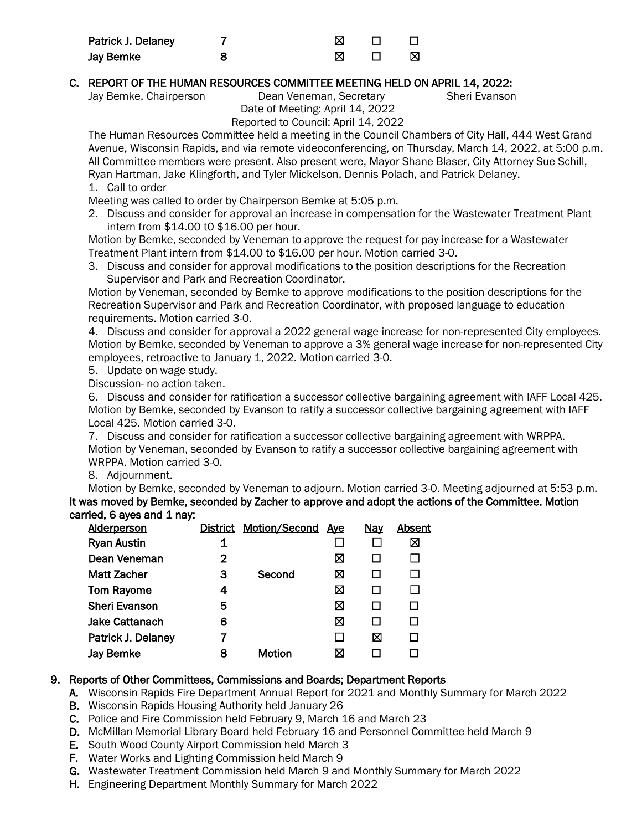| Patrick J. Delaney |  |     |
|--------------------|--|-----|
| Jay Bemke          |  | - M |

# C. REPORT OF THE HUMAN RESOURCES COMMITTEE MEETING HELD ON APRIL 14, 2022:

Jay Bemke, Chairperson Dean Veneman, Secretary Sheri Evanson Date of Meeting: April 14, 2022

Reported to Council: April 14, 2022

The Human Resources Committee held a meeting in the Council Chambers of City Hall, 444 West Grand Avenue, Wisconsin Rapids, and via remote videoconferencing, on Thursday, March 14, 2022, at 5:00 p.m. All Committee members were present. Also present were, Mayor Shane Blaser, City Attorney Sue Schill, Ryan Hartman, Jake Klingforth, and Tyler Mickelson, Dennis Polach, and Patrick Delaney. 1. Call to order

Meeting was called to order by Chairperson Bemke at 5:05 p.m.

2. Discuss and consider for approval an increase in compensation for the Wastewater Treatment Plant intern from \$14.00 t0 \$16.00 per hour.

Motion by Bemke, seconded by Veneman to approve the request for pay increase for a Wastewater Treatment Plant intern from \$14.00 to \$16.00 per hour. Motion carried 3-0.

3. Discuss and consider for approval modifications to the position descriptions for the Recreation Supervisor and Park and Recreation Coordinator.

Motion by Veneman, seconded by Bemke to approve modifications to the position descriptions for the Recreation Supervisor and Park and Recreation Coordinator, with proposed language to education requirements. Motion carried 3-0.

4. Discuss and consider for approval a 2022 general wage increase for non-represented City employees. Motion by Bemke, seconded by Veneman to approve a 3% general wage increase for non-represented City employees, retroactive to January 1, 2022. Motion carried 3-0.

5. Update on wage study.

Discussion- no action taken.

6. Discuss and consider for ratification a successor collective bargaining agreement with IAFF Local 425. Motion by Bemke, seconded by Evanson to ratify a successor collective bargaining agreement with IAFF Local 425. Motion carried 3-0.

7. Discuss and consider for ratification a successor collective bargaining agreement with WRPPA. Motion by Veneman, seconded by Evanson to ratify a successor collective bargaining agreement with WRPPA. Motion carried 3-0.

8. Adjournment.

Motion by Bemke, seconded by Veneman to adjourn. Motion carried 3-0. Meeting adjourned at 5:53 p.m. It was moved by Bemke, seconded by Zacher to approve and adopt the actions of the Committee. Motion carried, 6 aves and 1 nav:

| <b>Alderperson</b>    |   | District Motion/Second Ave |   | <u>Nay</u> | Absent |
|-----------------------|---|----------------------------|---|------------|--------|
| <b>Ryan Austin</b>    | 1 |                            |   |            | ⊠      |
| Dean Veneman          | 2 |                            | ⊠ |            |        |
| <b>Matt Zacher</b>    | З | Second                     | ⊠ |            |        |
| <b>Tom Rayome</b>     | 4 |                            | ⊠ |            |        |
| <b>Sheri Evanson</b>  | 5 |                            | ⊠ |            |        |
| <b>Jake Cattanach</b> | 6 |                            | ⊠ |            |        |
| Patrick J. Delaney    |   |                            |   | ⊠          |        |
| <b>Jay Bemke</b>      | 8 | Motion                     | ⊠ |            |        |
|                       |   |                            |   |            |        |

# 9. Reports of Other Committees, Commissions and Boards; Department Reports

- A. Wisconsin Rapids Fire Department Annual Report for 2021 and Monthly Summary for March 2022
- B. Wisconsin Rapids Housing Authority held January 26
- C. Police and Fire Commission held February 9, March 16 and March 23
- D. McMillan Memorial Library Board held February 16 and Personnel Committee held March 9
- E. South Wood County Airport Commission held March 3
- F. Water Works and Lighting Commission held March 9
- G. Wastewater Treatment Commission held March 9 and Monthly Summary for March 2022
- H. Engineering Department Monthly Summary for March 2022